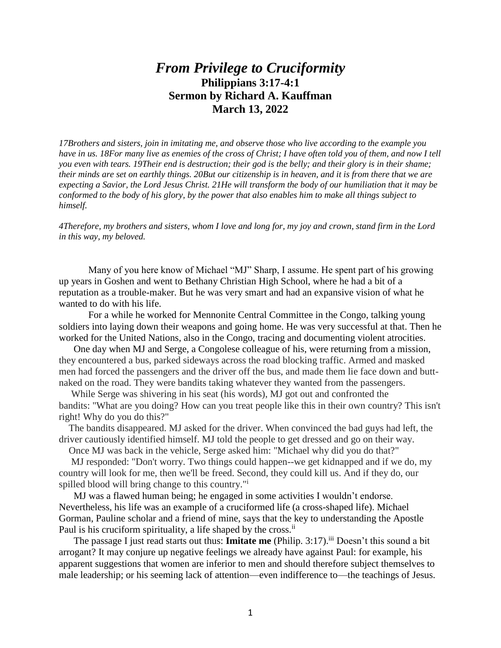## *From Privilege to Cruciformity* **Philippians 3:17-4:1 Sermon by Richard A. Kauffman March 13, 2022**

*17Brothers and sisters, join in imitating me, and observe those who live according to the example you have in us. 18For many live as enemies of the cross of Christ; I have often told you of them, and now I tell you even with tears. 19Their end is destruction; their god is the belly; and their glory is in their shame; their minds are set on earthly things. 20But our citizenship is in heaven, and it is from there that we are expecting a Savior, the Lord Jesus Christ. 21He will transform the body of our humiliation that it may be conformed to the body of his glory, by the power that also enables him to make all things subject to himself.*

*4Therefore, my brothers and sisters, whom I love and long for, my joy and crown, stand firm in the Lord in this way, my beloved.*

Many of you here know of Michael "MJ" Sharp, I assume. He spent part of his growing up years in Goshen and went to Bethany Christian High School, where he had a bit of a reputation as a trouble-maker. But he was very smart and had an expansive vision of what he wanted to do with his life.

For a while he worked for Mennonite Central Committee in the Congo, talking young soldiers into laying down their weapons and going home. He was very successful at that. Then he worked for the United Nations, also in the Congo, tracing and documenting violent atrocities.

One day when MJ and Serge, a Congolese colleague of his, were returning from a mission, they encountered a bus, parked sideways across the road blocking traffic. Armed and masked men had forced the passengers and the driver off the bus, and made them lie face down and buttnaked on the road. They were bandits taking whatever they wanted from the passengers.

 While Serge was shivering in his seat (his words), MJ got out and confronted the bandits: "What are you doing? How can you treat people like this in their own country? This isn't right! Why do you do this?"

 The bandits disappeared. MJ asked for the driver. When convinced the bad guys had left, the driver cautiously identified himself. MJ told the people to get dressed and go on their way.

Once MJ was back in the vehicle, Serge asked him: "Michael why did you do that?"

 MJ responded: "Don't worry. Two things could happen--we get kidnapped and if we do, my country will look for me, then we'll be freed. Second, they could kill us. And if they do, our spilled blood will bring change to this country."<sup>i</sup>

MJ was a flawed human being; he engaged in some activities I wouldn't endorse. Nevertheless, his life was an example of a cruciformed life (a cross-shaped life). Michael Gorman, Pauline scholar and a friend of mine, says that the key to understanding the Apostle Paul is his cruciform spirituality, a life shaped by the cross.<sup>ii</sup>

The passage I just read starts out thus: **Imitate me** (Philip. 3:17).<sup>iii</sup> Doesn't this sound a bit arrogant? It may conjure up negative feelings we already have against Paul: for example, his apparent suggestions that women are inferior to men and should therefore subject themselves to male leadership; or his seeming lack of attention—even indifference to—the teachings of Jesus.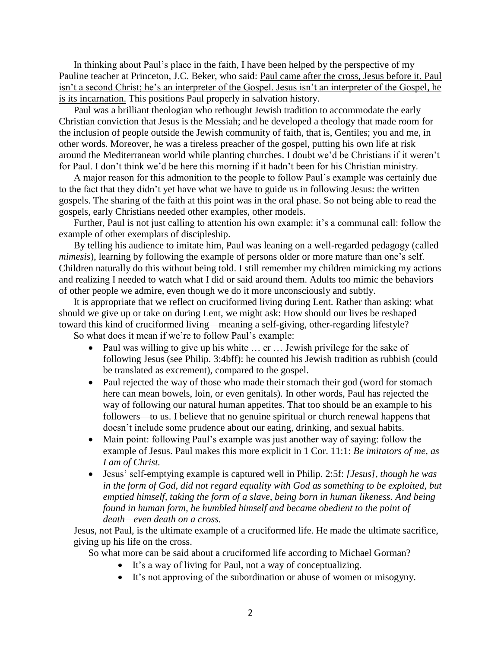In thinking about Paul's place in the faith, I have been helped by the perspective of my Pauline teacher at Princeton, J.C. Beker, who said: Paul came after the cross, Jesus before it. Paul isn't a second Christ; he's an interpreter of the Gospel. Jesus isn't an interpreter of the Gospel, he is its incarnation. This positions Paul properly in salvation history.

Paul was a brilliant theologian who rethought Jewish tradition to accommodate the early Christian conviction that Jesus is the Messiah; and he developed a theology that made room for the inclusion of people outside the Jewish community of faith, that is, Gentiles; you and me, in other words. Moreover, he was a tireless preacher of the gospel, putting his own life at risk around the Mediterranean world while planting churches. I doubt we'd be Christians if it weren't for Paul. I don't think we'd be here this morning if it hadn't been for his Christian ministry.

A major reason for this admonition to the people to follow Paul's example was certainly due to the fact that they didn't yet have what we have to guide us in following Jesus: the written gospels. The sharing of the faith at this point was in the oral phase. So not being able to read the gospels, early Christians needed other examples, other models.

Further, Paul is not just calling to attention his own example: it's a communal call: follow the example of other exemplars of discipleship.

By telling his audience to imitate him, Paul was leaning on a well-regarded pedagogy (called *mimesis*), learning by following the example of persons older or more mature than one's self. Children naturally do this without being told. I still remember my children mimicking my actions and realizing I needed to watch what I did or said around them. Adults too mimic the behaviors of other people we admire, even though we do it more unconsciously and subtly.

It is appropriate that we reflect on cruciformed living during Lent. Rather than asking: what should we give up or take on during Lent, we might ask: How should our lives be reshaped toward this kind of cruciformed living—meaning a self-giving, other-regarding lifestyle?

So what does it mean if we're to follow Paul's example:

- Paul was willing to give up his white ... er ... Jewish privilege for the sake of following Jesus (see Philip. 3:4bff): he counted his Jewish tradition as rubbish (could be translated as excrement), compared to the gospel.
- Paul rejected the way of those who made their stomach their god (word for stomach here can mean bowels, loin, or even genitals). In other words, Paul has rejected the way of following our natural human appetites. That too should be an example to his followers—to us. I believe that no genuine spiritual or church renewal happens that doesn't include some prudence about our eating, drinking, and sexual habits.
- Main point: following Paul's example was just another way of saying: follow the example of Jesus. Paul makes this more explicit in 1 Cor. 11:1: *Be imitators of me, as I am of Christ.*
- Jesus' self-emptying example is captured well in Philip. 2:5f: *[Jesus], though he was in the form of God, did not regard equality with God as something to be exploited, but emptied himself, taking the form of a slave, being born in human likeness. And being found in human form, he humbled himself and became obedient to the point of death—even death on a cross.*

Jesus, not Paul, is the ultimate example of a cruciformed life. He made the ultimate sacrifice, giving up his life on the cross.

So what more can be said about a cruciformed life according to Michael Gorman?

- It's a way of living for Paul, not a way of conceptualizing.
- It's not approving of the subordination or abuse of women or misogyny.